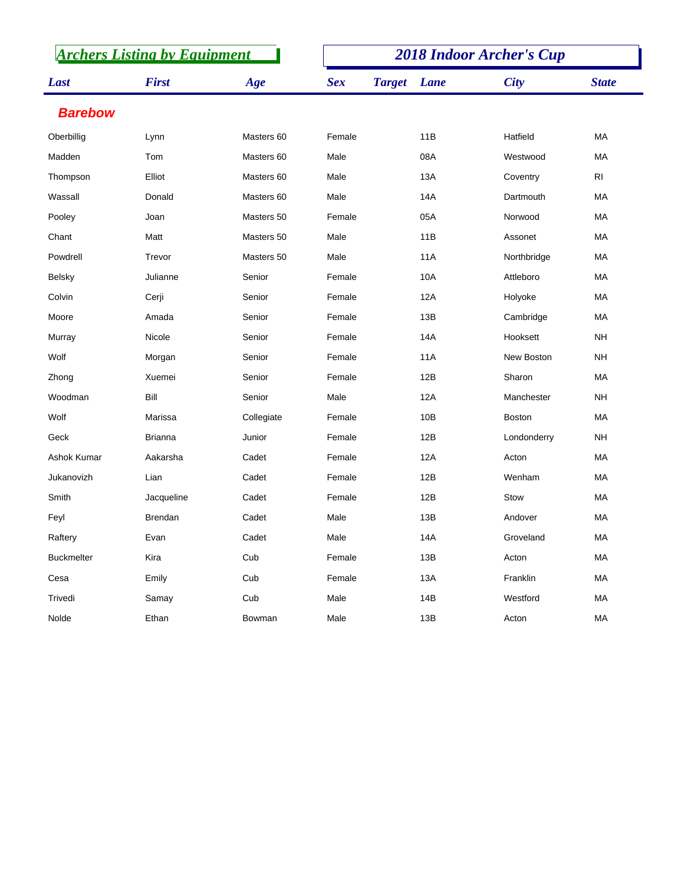| <b>Archers Listing by Equipment</b> |                |            | <b>2018 Indoor Archer's Cup</b> |               |            |               |                |  |
|-------------------------------------|----------------|------------|---------------------------------|---------------|------------|---------------|----------------|--|
| Last                                | <b>First</b>   | Age        | <b>Sex</b>                      | <b>Target</b> | Lane       | <b>City</b>   | <b>State</b>   |  |
| <b>Barebow</b>                      |                |            |                                 |               |            |               |                |  |
| Oberbillig                          | Lynn           | Masters 60 | Female                          |               | 11B        | Hatfield      | MA             |  |
| Madden                              | Tom            | Masters 60 | Male                            |               | 08A        | Westwood      | МA             |  |
| Thompson                            | Elliot         | Masters 60 | Male                            |               | 13A        | Coventry      | R <sub>l</sub> |  |
| Wassall                             | Donald         | Masters 60 | Male                            |               | 14A        | Dartmouth     | MA             |  |
| Pooley                              | Joan           | Masters 50 | Female                          |               | 05A        | Norwood       | MA             |  |
| Chant                               | Matt           | Masters 50 | Male                            |               | 11B        | Assonet       | MA             |  |
| Powdrell                            | Trevor         | Masters 50 | Male                            |               | <b>11A</b> | Northbridge   | MA             |  |
| <b>Belsky</b>                       | Julianne       | Senior     | Female                          |               | 10A        | Attleboro     | МA             |  |
| Colvin                              | Cerji          | Senior     | Female                          |               | 12A        | Holyoke       | MA             |  |
| Moore                               | Amada          | Senior     | Female                          |               | 13B        | Cambridge     | МA             |  |
| Murray                              | Nicole         | Senior     | Female                          |               | 14A        | Hooksett      | <b>NH</b>      |  |
| Wolf                                | Morgan         | Senior     | Female                          |               | 11A        | New Boston    | <b>NH</b>      |  |
| Zhong                               | Xuemei         | Senior     | Female                          |               | 12B        | Sharon        | MA             |  |
| Woodman                             | Bill           | Senior     | Male                            |               | 12A        | Manchester    | <b>NH</b>      |  |
| Wolf                                | Marissa        | Collegiate | Female                          |               | 10B        | <b>Boston</b> | <b>MA</b>      |  |
| Geck                                | <b>Brianna</b> | Junior     | Female                          |               | 12B        | Londonderry   | <b>NH</b>      |  |
| Ashok Kumar                         | Aakarsha       | Cadet      | Female                          |               | 12A        | Acton         | MA             |  |
| Jukanovizh                          | Lian           | Cadet      | Female                          |               | 12B        | Wenham        | MA             |  |
| Smith                               | Jacqueline     | Cadet      | Female                          |               | 12B        | Stow          | MA             |  |
| Feyl                                | <b>Brendan</b> | Cadet      | Male                            |               | 13B        | Andover       | МA             |  |
| Raftery                             | Evan           | Cadet      | Male                            |               | 14A        | Groveland     | МA             |  |
| <b>Buckmelter</b>                   | Kira           | Cub        | Female                          |               | 13B        | Acton         | MA             |  |
| Cesa                                | Emily          | Cub        | Female                          |               | 13A        | Franklin      | MA             |  |
| Trivedi                             | Samay          | Cub        | Male                            |               | 14B        | Westford      | MA             |  |
| Nolde                               | Ethan          | Bowman     | Male                            |               | 13B        | Acton         | MA             |  |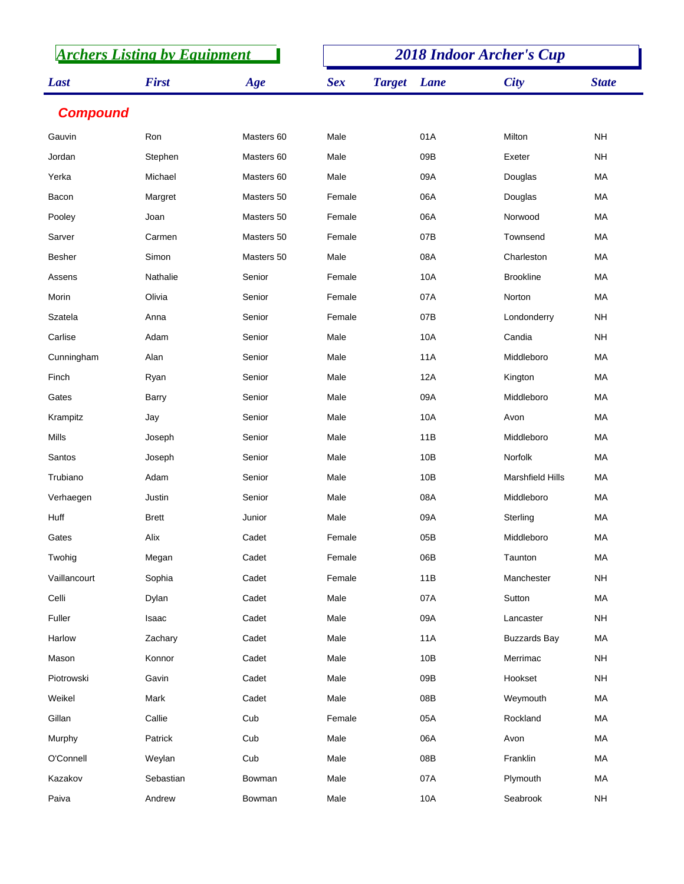| <b>Archers Listing by Equipment</b> |              |            | <b>2018 Indoor Archer's Cup</b> |               |            |                         |              |  |
|-------------------------------------|--------------|------------|---------------------------------|---------------|------------|-------------------------|--------------|--|
| Last                                | <b>First</b> | Age        | <b>Sex</b>                      | <b>Target</b> | Lane       | <b>City</b>             | <b>State</b> |  |
| <b>Compound</b>                     |              |            |                                 |               |            |                         |              |  |
| Gauvin                              | Ron          | Masters 60 | Male                            |               | 01A        | Milton                  | <b>NH</b>    |  |
| Jordan                              | Stephen      | Masters 60 | Male                            |               | 09B        | Exeter                  | <b>NH</b>    |  |
| Yerka                               | Michael      | Masters 60 | Male                            |               | 09A        | Douglas                 | MA           |  |
| Bacon                               | Margret      | Masters 50 | Female                          |               | 06A        | Douglas                 | MA           |  |
| Pooley                              | Joan         | Masters 50 | Female                          |               | 06A        | Norwood                 | MA           |  |
| Sarver                              | Carmen       | Masters 50 | Female                          |               | 07B        | Townsend                | <b>MA</b>    |  |
| <b>Besher</b>                       | Simon        | Masters 50 | Male                            |               | 08A        | Charleston              | MA           |  |
| Assens                              | Nathalie     | Senior     | Female                          |               | 10A        | <b>Brookline</b>        | MA           |  |
| Morin                               | Olivia       | Senior     | Female                          |               | 07A        | Norton                  | MA           |  |
| Szatela                             | Anna         | Senior     | Female                          |               | 07B        | Londonderry             | <b>NH</b>    |  |
| Carlise                             | Adam         | Senior     | Male                            |               | 10A        | Candia                  | <b>NH</b>    |  |
| Cunningham                          | Alan         | Senior     | Male                            |               | 11A        | Middleboro              | <b>MA</b>    |  |
| Finch                               | Ryan         | Senior     | Male                            |               | 12A        | Kington                 | MA           |  |
| Gates                               | <b>Barry</b> | Senior     | Male                            |               | 09A        | Middleboro              | <b>MA</b>    |  |
| Krampitz                            | Jay          | Senior     | Male                            |               | 10A        | Avon                    | <b>MA</b>    |  |
| Mills                               | Joseph       | Senior     | Male                            |               | 11B        | Middleboro              | MA           |  |
| Santos                              | Joseph       | Senior     | Male                            |               | 10B        | Norfolk                 | <b>MA</b>    |  |
| Trubiano                            | Adam         | Senior     | Male                            |               | 10B        | <b>Marshfield Hills</b> | MA           |  |
| Verhaegen                           | Justin       | Senior     | Male                            |               | 08A        | Middleboro              | MA           |  |
| Huff                                | <b>Brett</b> | Junior     | Male                            |               | 09A        | Sterling                | МA           |  |
| Gates                               | Alix         | Cadet      | Female                          |               | 05B        | Middleboro              | MA           |  |
| Twohig                              | Megan        | Cadet      | Female                          |               | 06B        | Taunton                 | MA           |  |
| Vaillancourt                        | Sophia       | Cadet      | Female                          |               | 11B        | Manchester              | <b>NH</b>    |  |
| Celli                               | Dylan        | Cadet      | Male                            |               | 07A        | Sutton                  | MA           |  |
| Fuller                              | Isaac        | Cadet      | Male                            |               | 09A        | Lancaster               | <b>NH</b>    |  |
| Harlow                              | Zachary      | Cadet      | Male                            |               | <b>11A</b> | <b>Buzzards Bay</b>     | MA           |  |
| Mason                               | Konnor       | Cadet      | Male                            |               | 10B        | Merrimac                | <b>NH</b>    |  |
| Piotrowski                          | Gavin        | Cadet      | Male                            |               | 09B        | Hookset                 | <b>NH</b>    |  |
| Weikel                              | Mark         | Cadet      | Male                            |               | 08B        | Weymouth                | MA           |  |
| Gillan                              | Callie       | Cub        | Female                          |               | 05A        | Rockland                | MA           |  |
| Murphy                              | Patrick      | Cub        | Male                            |               | 06A        | Avon                    | MA           |  |
| O'Connell                           | Weylan       | Cub        | Male                            |               | 08B        | Franklin                | MA           |  |
| Kazakov                             | Sebastian    | Bowman     | Male                            |               | 07A        | Plymouth                | MA           |  |
| Paiva                               | Andrew       | Bowman     | Male                            |               | 10A        | Seabrook                | <b>NH</b>    |  |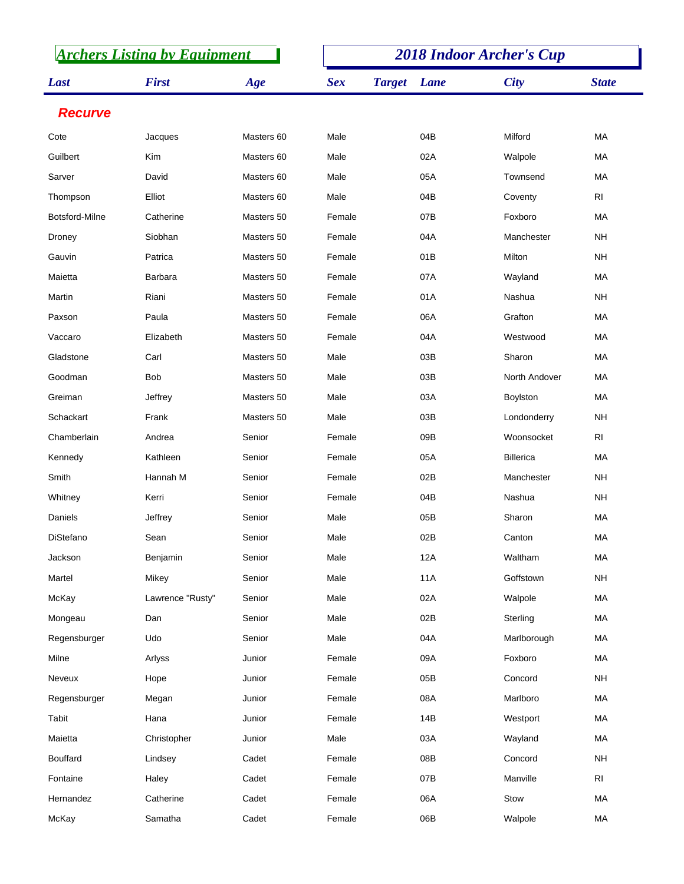| <b>Archers Listing by Equipment</b> |                  |            | <b>2018 Indoor Archer's Cup</b> |               |            |                  |                 |  |
|-------------------------------------|------------------|------------|---------------------------------|---------------|------------|------------------|-----------------|--|
| Last                                | <b>First</b>     | Age        | <b>Sex</b>                      | <b>Target</b> | Lane       | <b>City</b>      | <b>State</b>    |  |
| <b>Recurve</b>                      |                  |            |                                 |               |            |                  |                 |  |
| Cote                                | Jacques          | Masters 60 | Male                            |               | 04B        | Milford          | MA              |  |
| Guilbert                            | Kim              | Masters 60 | Male                            |               | 02A        | Walpole          | МA              |  |
| Sarver                              | David            | Masters 60 | Male                            |               | 05A        | Townsend         | MA              |  |
| Thompson                            | Elliot           | Masters 60 | Male                            |               | 04B        | Coventy          | R <sub>l</sub>  |  |
| Botsford-Milne                      | Catherine        | Masters 50 | Female                          |               | 07B        | Foxboro          | MA              |  |
| Droney                              | Siobhan          | Masters 50 | Female                          |               | 04A        | Manchester       | <b>NH</b>       |  |
| Gauvin                              | Patrica          | Masters 50 | Female                          |               | 01B        | Milton           | <b>NH</b>       |  |
| Maietta                             | <b>Barbara</b>   | Masters 50 | Female                          |               | 07A        | Wayland          | МA              |  |
| Martin                              | Riani            | Masters 50 | Female                          |               | 01A        | Nashua           | <b>NH</b>       |  |
| Paxson                              | Paula            | Masters 50 | Female                          |               | 06A        | Grafton          | МA              |  |
| Vaccaro                             | Elizabeth        | Masters 50 | Female                          |               | 04A        | Westwood         | MA              |  |
| Gladstone                           | Carl             | Masters 50 | Male                            |               | 03B        | Sharon           | МA              |  |
| Goodman                             | <b>Bob</b>       | Masters 50 | Male                            |               | 03B        | North Andover    | MA              |  |
| Greiman                             | Jeffrey          | Masters 50 | Male                            |               | 03A        | Boylston         | МA              |  |
| Schackart                           | Frank            | Masters 50 | Male                            |               | 03B        | Londonderry      | <b>NH</b>       |  |
| Chamberlain                         | Andrea           | Senior     | Female                          |               | 09B        | Woonsocket       | R <sub>l</sub>  |  |
| Kennedy                             | Kathleen         | Senior     | Female                          |               | 05A        | <b>Billerica</b> | MA              |  |
| Smith                               | Hannah M         | Senior     | Female                          |               | 02B        | Manchester       | <b>NH</b>       |  |
| Whitney                             | Kerri            | Senior     | Female                          |               | 04B        | Nashua           | <b>NH</b>       |  |
| Daniels                             | Jeffrey          | Senior     | Male                            |               | 05B        | Sharon           | MA              |  |
| DiStefano                           | Sean             | Senior     | Male                            |               | 02B        | Canton           | MA              |  |
| Jackson                             | Benjamin         | Senior     | Male                            |               | 12A        | Waltham          | MA              |  |
| Martel                              | Mikey            | Senior     | Male                            |               | <b>11A</b> | Goffstown        | <b>NH</b>       |  |
| McKay                               | Lawrence "Rusty" | Senior     | Male                            |               | 02A        | Walpole          | MA              |  |
| Mongeau                             | Dan              | Senior     | Male                            |               | 02B        | Sterling         | MA              |  |
| Regensburger                        | Udo              | Senior     | Male                            |               | 04A        | Marlborough      | MA              |  |
| Milne                               | Arlyss           | Junior     | Female                          |               | 09A        | Foxboro          | MA              |  |
| Neveux                              | Hope             | Junior     | Female                          |               | 05B        | Concord          | $\mathsf{NH}\,$ |  |
| Regensburger                        | Megan            | Junior     | Female                          |               | 08A        | Marlboro         | MA              |  |
| Tabit                               | Hana             | Junior     | Female                          |               | 14B        | Westport         | MA              |  |
| Maietta                             | Christopher      | Junior     | Male                            |               | 03A        | Wayland          | MA              |  |
| Bouffard                            | Lindsey          | Cadet      | Female                          |               | 08B        | Concord          | <b>NH</b>       |  |
| Fontaine                            | Haley            | Cadet      | Female                          |               | 07B        | Manville         | R <sub>l</sub>  |  |
| Hernandez                           | Catherine        | Cadet      | Female                          |               | 06A        | Stow             | MA              |  |
| McKay                               | Samatha          | Cadet      | Female                          |               | 06B        | Walpole          | MA              |  |